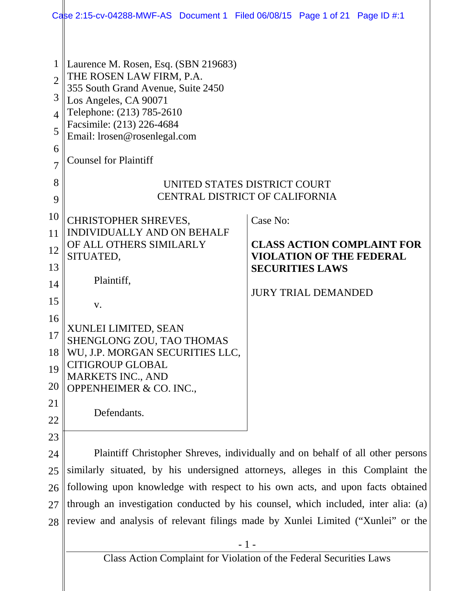|                                                                            | Case 2:15-cv-04288-MWF-AS Document 1 Filed 06/08/15 Page 1 of 21 Page ID #:1                                                                                                                                                                                                                                                                                                                                                                                                                                 |                                                                                                                                          |
|----------------------------------------------------------------------------|--------------------------------------------------------------------------------------------------------------------------------------------------------------------------------------------------------------------------------------------------------------------------------------------------------------------------------------------------------------------------------------------------------------------------------------------------------------------------------------------------------------|------------------------------------------------------------------------------------------------------------------------------------------|
| $\overline{2}$<br>3<br>$\overline{4}$<br>5<br>6<br>$\overline{7}$<br>8     | Laurence M. Rosen, Esq. (SBN 219683)<br>THE ROSEN LAW FIRM, P.A.<br>355 South Grand Avenue, Suite 2450<br>Los Angeles, CA 90071<br>Telephone: (213) 785-2610<br>Facsimile: (213) 226-4684<br>Email: lrosen@rosenlegal.com<br><b>Counsel for Plaintiff</b>                                                                                                                                                                                                                                                    |                                                                                                                                          |
| 9                                                                          | UNITED STATES DISTRICT COURT<br><b>CENTRAL DISTRICT OF CALIFORNIA</b>                                                                                                                                                                                                                                                                                                                                                                                                                                        |                                                                                                                                          |
| 10<br>11<br>12<br>13<br>14<br>15<br>16<br>17<br>18<br>19<br>20<br>21<br>22 | <b>CHRISTOPHER SHREVES,</b><br><b>INDIVIDUALLY AND ON BEHALF</b><br>OF ALL OTHERS SIMILARLY<br>SITUATED,<br>Plaintiff,<br>V.<br>XUNLEI LIMITED, SEAN<br>SHENGLONG ZOU, TAO THOMAS<br>WU, J.P. MORGAN SECURITIES LLC,<br><b>CITIGROUP GLOBAL</b><br><b>MARKETS INC., AND</b><br>OPPENHEIMER & CO. INC.,<br>Defendants.                                                                                                                                                                                        | Case No:<br><b>CLASS ACTION COMPLAINT FOR</b><br><b>VIOLATION OF THE FEDERAL</b><br><b>SECURITIES LAWS</b><br><b>JURY TRIAL DEMANDED</b> |
| 23<br>24<br>25<br>26<br>27<br>28                                           | Plaintiff Christopher Shreves, individually and on behalf of all other persons<br>similarly situated, by his undersigned attorneys, alleges in this Complaint the<br>following upon knowledge with respect to his own acts, and upon facts obtained<br>through an investigation conducted by his counsel, which included, inter alia: (a)<br>review and analysis of relevant filings made by Xunlei Limited ("Xunlei" or the<br>$-1-$<br>Class Action Complaint for Violation of the Federal Securities Laws |                                                                                                                                          |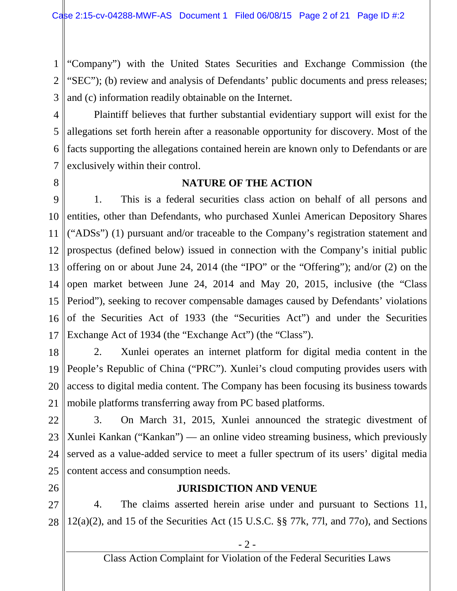1 2 3 "Company") with the United States Securities and Exchange Commission (the "SEC"); (b) review and analysis of Defendants' public documents and press releases; and (c) information readily obtainable on the Internet.

4 5 6 7 Plaintiff believes that further substantial evidentiary support will exist for the allegations set forth herein after a reasonable opportunity for discovery. Most of the facts supporting the allegations contained herein are known only to Defendants or are exclusively within their control.

8

## **NATURE OF THE ACTION**

9 10 11 12 13 14 15 16 17 1. This is a federal securities class action on behalf of all persons and entities, other than Defendants, who purchased Xunlei American Depository Shares ("ADSs") (1) pursuant and/or traceable to the Company's registration statement and prospectus (defined below) issued in connection with the Company's initial public offering on or about June 24, 2014 (the "IPO" or the "Offering"); and/or (2) on the open market between June 24, 2014 and May 20, 2015, inclusive (the "Class Period"), seeking to recover compensable damages caused by Defendants' violations of the Securities Act of 1933 (the "Securities Act") and under the Securities Exchange Act of 1934 (the "Exchange Act") (the "Class").

18 19 20 21 2. Xunlei operates an internet platform for digital media content in the People's Republic of China ("PRC"). Xunlei's cloud computing provides users with access to digital media content. The Company has been focusing its business towards mobile platforms transferring away from PC based platforms.

22 23 24 25 3. On March 31, 2015, Xunlei announced the strategic divestment of Xunlei Kankan ("Kankan") — an online video streaming business, which previously served as a value-added service to meet a fuller spectrum of its users' digital media content access and consumption needs.

26

## **JURISDICTION AND VENUE**

27 28 4. The claims asserted herein arise under and pursuant to Sections 11,  $12(a)(2)$ , and 15 of the Securities Act (15 U.S.C. §§ 77k, 77l, and 77o), and Sections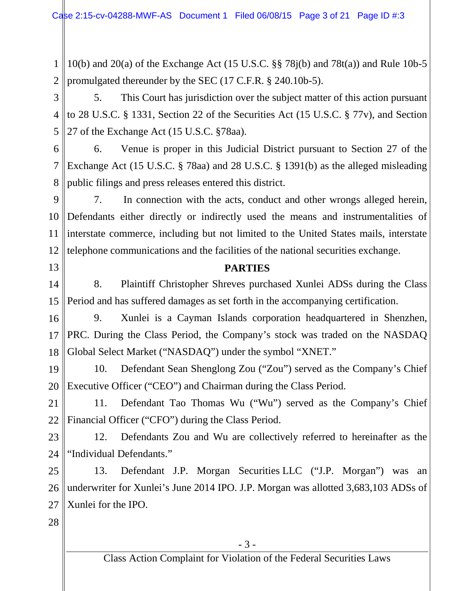1 2 10(b) and 20(a) of the Exchange Act (15 U.S.C.  $\S$  78 $j(b)$  and 78 $t(a)$ ) and Rule 10b-5 promulgated thereunder by the SEC (17 C.F.R. § 240.10b-5).

3 4 5 5. This Court has jurisdiction over the subject matter of this action pursuant to 28 U.S.C. § 1331, Section 22 of the Securities Act (15 U.S.C. § 77v), and Section 27 of the Exchange Act (15 U.S.C. §78aa).

6 7 8 6. Venue is proper in this Judicial District pursuant to Section 27 of the Exchange Act (15 U.S.C. § 78aa) and 28 U.S.C. § 1391(b) as the alleged misleading public filings and press releases entered this district.

9 10 Defendants either directly or indirectly used the means and instrumentalities of 11 12 7. In connection with the acts, conduct and other wrongs alleged herein, interstate commerce, including but not limited to the United States mails, interstate telephone communications and the facilities of the national securities exchange.

13

## **PARTIES**

14 15 8. Plaintiff Christopher Shreves purchased Xunlei ADSs during the Class Period and has suffered damages as set forth in the accompanying certification.

16

17

18

9. Xunlei is a Cayman Islands corporation headquartered in Shenzhen, PRC. During the Class Period, the Company's stock was traded on the NASDAQ Global Select Market ("NASDAQ") under the symbol "XNET."

19 20 10. Defendant Sean Shenglong Zou ("Zou") served as the Company's Chief Executive Officer ("CEO") and Chairman during the Class Period.

21 22 11. Defendant Tao Thomas Wu ("Wu") served as the Company's Chief Financial Officer ("CFO") during the Class Period.

23 24 12. Defendants Zou and Wu are collectively referred to hereinafter as the "Individual Defendants."

25 26 27 13. Defendant J.P. Morgan Securities LLC ("J.P. Morgan") was an underwriter for Xunlei's June 2014 IPO. J.P. Morgan was allotted 3,683,103 ADSs of Xunlei for the IPO.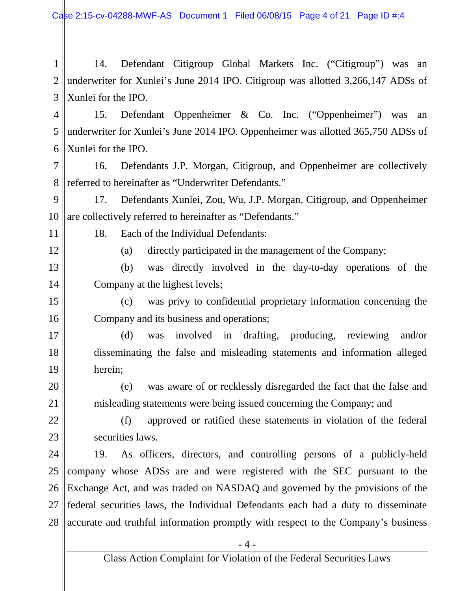1 2 3 14. Defendant Citigroup Global Markets Inc. ("Citigroup") was an underwriter for Xunlei's June 2014 IPO. Citigroup was allotted 3,266,147 ADSs of Xunlei for the IPO.

4 5 6 15. Defendant Oppenheimer & Co. Inc. ("Oppenheimer") was an underwriter for Xunlei's June 2014 IPO. Oppenheimer was allotted 365,750 ADSs of Xunlei for the IPO.

7 8 16. Defendants J.P. Morgan, Citigroup, and Oppenheimer are collectively referred to hereinafter as "Underwriter Defendants."

9 10 17. Defendants Xunlei, Zou, Wu, J.P. Morgan, Citigroup, and Oppenheimer are collectively referred to hereinafter as "Defendants."

11

18. Each of the Individual Defendants:

12

(a) directly participated in the management of the Company;

13 14 (b) was directly involved in the day-to-day operations of the Company at the highest levels;

15 16 (c) was privy to confidential proprietary information concerning the Company and its business and operations;

17 18 19 (d) was involved in drafting, producing, reviewing and/or disseminating the false and misleading statements and information alleged herein;

20 21 (e) was aware of or recklessly disregarded the fact that the false and misleading statements were being issued concerning the Company; and

22

23

(f) approved or ratified these statements in violation of the federal securities laws.

24 25 26 27 28 19. As officers, directors, and controlling persons of a publicly-held company whose ADSs are and were registered with the SEC pursuant to the Exchange Act, and was traded on NASDAQ and governed by the provisions of the federal securities laws, the Individual Defendants each had a duty to disseminate accurate and truthful information promptly with respect to the Company's business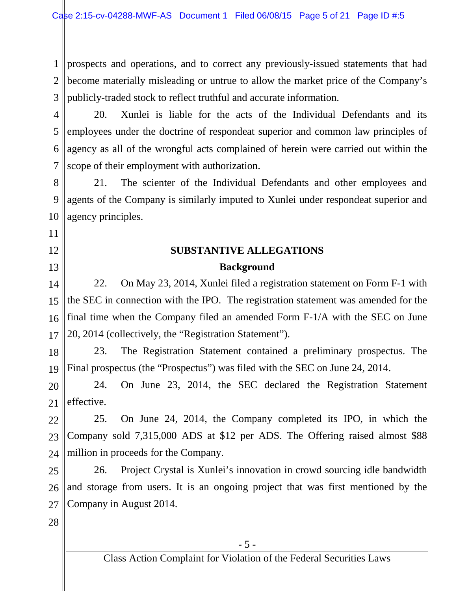1 2 3 prospects and operations, and to correct any previously-issued statements that had become materially misleading or untrue to allow the market price of the Company's publicly-traded stock to reflect truthful and accurate information.

4 5 6 7 20. Xunlei is liable for the acts of the Individual Defendants and its employees under the doctrine of respondeat superior and common law principles of agency as all of the wrongful acts complained of herein were carried out within the scope of their employment with authorization.

8 9 10 21. The scienter of the Individual Defendants and other employees and agents of the Company is similarly imputed to Xunlei under respondeat superior and agency principles.

## **SUBSTANTIVE ALLEGATIONS Background**

14 15 16 17 22. On May 23, 2014, Xunlei filed a registration statement on Form F-1 with the SEC in connection with the IPO. The registration statement was amended for the final time when the Company filed an amended Form F-1/A with the SEC on June 20, 2014 (collectively, the "Registration Statement").

18 19 23. The Registration Statement contained a preliminary prospectus. The Final prospectus (the "Prospectus") was filed with the SEC on June 24, 2014.

20 21 24. On June 23, 2014, the SEC declared the Registration Statement effective.

22 23 24 25. On June 24, 2014, the Company completed its IPO, in which the Company sold 7,315,000 ADS at \$12 per ADS. The Offering raised almost \$88 million in proceeds for the Company.

25 26 27 26. Project Crystal is Xunlei's innovation in crowd sourcing idle bandwidth and storage from users. It is an ongoing project that was first mentioned by the Company in August 2014.

28

11

12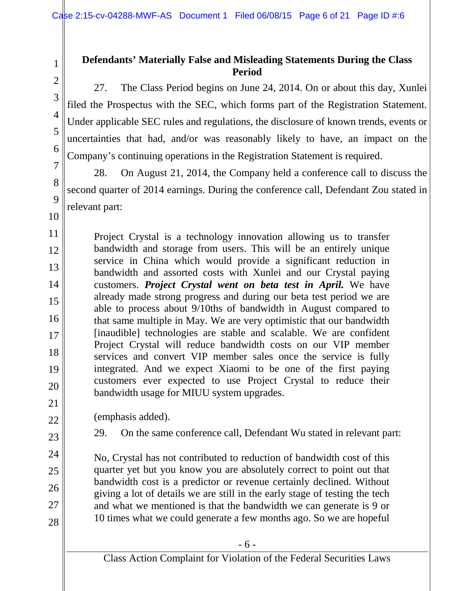2 3 4

5

6

7

8

 $\overline{Q}$ 

10

24

25

26

27

28

1

## **Defendants' Materially False and Misleading Statements During the Class Period**

27. The Class Period begins on June 24, 2014. On or about this day, Xunlei filed the Prospectus with the SEC, which forms part of the Registration Statement. Under applicable SEC rules and regulations, the disclosure of known trends, events or uncertainties that had, and/or was reasonably likely to have, an impact on the Company's continuing operations in the Registration Statement is required.

28. On August 21, 2014, the Company held a conference call to discuss the second quarter of 2014 earnings. During the conference call, Defendant Zou stated in relevant part:

11 12 13 14 15 16 17 18 19 20 21 Project Crystal is a technology innovation allowing us to transfer bandwidth and storage from users. This will be an entirely unique service in China which would provide a significant reduction in bandwidth and assorted costs with Xunlei and our Crystal paying customers. *Project Crystal went on beta test in April.* We have already made strong progress and during our beta test period we are able to process about 9/10ths of bandwidth in August compared to that same multiple in May. We are very optimistic that our bandwidth [inaudible] technologies are stable and scalable. We are confident Project Crystal will reduce bandwidth costs on our VIP member services and convert VIP member sales once the service is fully integrated. And we expect Xiaomi to be one of the first paying customers ever expected to use Project Crystal to reduce their bandwidth usage for MIUU system upgrades.

- 22 (emphasis added).
- 23 29. On the same conference call, Defendant Wu stated in relevant part:

No, Crystal has not contributed to reduction of bandwidth cost of this quarter yet but you know you are absolutely correct to point out that bandwidth cost is a predictor or revenue certainly declined. Without giving a lot of details we are still in the early stage of testing the tech and what we mentioned is that the bandwidth we can generate is 9 or 10 times what we could generate a few months ago. So we are hopeful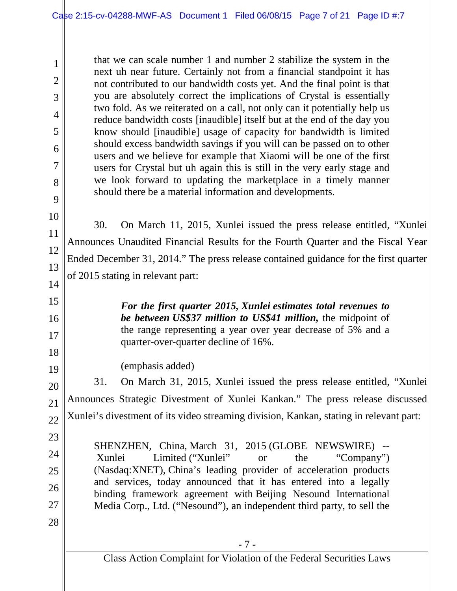that we can scale number 1 and number 2 stabilize the system in the next uh near future. Certainly not from a financial standpoint it has not contributed to our bandwidth costs yet. And the final point is that you are absolutely correct the implications of Crystal is essentially two fold. As we reiterated on a call, not only can it potentially help us reduce bandwidth costs [inaudible] itself but at the end of the day you know should [inaudible] usage of capacity for bandwidth is limited should excess bandwidth savings if you will can be passed on to other users and we believe for example that Xiaomi will be one of the first users for Crystal but uh again this is still in the very early stage and we look forward to updating the marketplace in a timely manner should there be a material information and developments.

10 11 12 13 14 30. On March 11, 2015, Xunlei issued the press release entitled, "Xunlei Announces Unaudited Financial Results for the Fourth Quarter and the Fiscal Year Ended December 31, 2014." The press release contained guidance for the first quarter of 2015 stating in relevant part:

> *For the first quarter 2015, Xunlei estimates total revenues to be between US\$37 million to US\$41 million,* the midpoint of the range representing a year over year decrease of 5% and a quarter-over-quarter decline of 16%.

(emphasis added)

20 21 22 31. On March 31, 2015, Xunlei issued the press release entitled, "Xunlei Announces Strategic Divestment of Xunlei Kankan." The press release discussed Xunlei's divestment of its video streaming division, Kankan, stating in relevant part:

23

24

25

26

27

28

1

2

3

4

5

6

7

8

9

15

16

17

18

19

SHENZHEN, China, March 31, 2015 (GLOBE NEWSWIRE) -- Xunlei Limited ("Xunlei" or the "Company") (Nasdaq:XNET), China's leading provider of acceleration products and services, today announced that it has entered into a legally binding framework agreement with Beijing Nesound International Media Corp., Ltd. ("Nesound"), an independent third party, to sell the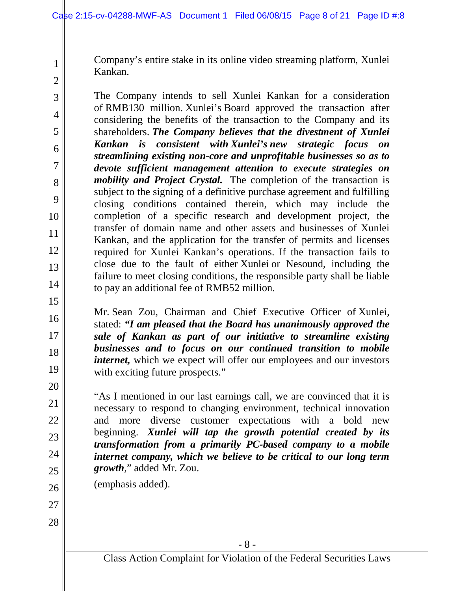Company's entire stake in its online video streaming platform, Xunlei Kankan.

The Company intends to sell Xunlei Kankan for a consideration of RMB130 million. Xunlei's Board approved the transaction after considering the benefits of the transaction to the Company and its shareholders. *The Company believes that the divestment of Xunlei Kankan is consistent with Xunlei's new strategic focus on streamlining existing non-core and unprofitable businesses so as to devote sufficient management attention to execute strategies on mobility and Project Crystal.* The completion of the transaction is subject to the signing of a definitive purchase agreement and fulfilling closing conditions contained therein, which may include the completion of a specific research and development project, the transfer of domain name and other assets and businesses of Xunlei Kankan, and the application for the transfer of permits and licenses required for Xunlei Kankan's operations. If the transaction fails to close due to the fault of either Xunlei or Nesound, including the failure to meet closing conditions, the responsible party shall be liable to pay an additional fee of RMB52 million.

Mr. Sean Zou, Chairman and Chief Executive Officer of Xunlei, stated: *"I am pleased that the Board has unanimously approved the sale of Kankan as part of our initiative to streamline existing businesses and to focus on our continued transition to mobile internet*, which we expect will offer our employees and our investors with exciting future prospects."

"As I mentioned in our last earnings call, we are convinced that it is necessary to respond to changing environment, technical innovation and more diverse customer expectations with a bold new beginning. *Xunlei will tap the growth potential created by its transformation from a primarily PC-based company to a mobile internet company, which we believe to be critical to our long term growth*," added Mr. Zou.

(emphasis added).

1

2

3

4

5

6

7

8

9

10

11

12

13

14

15

16

17

18

19

20

21

22

23

24

25

26

27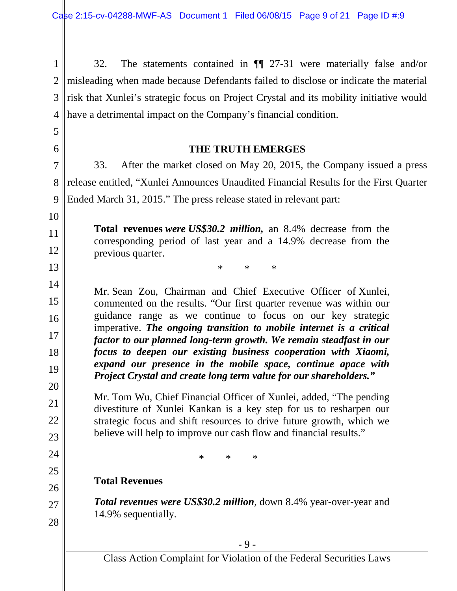1 2 3 4 32. The statements contained in ¶¶ 27-31 were materially false and/or misleading when made because Defendants failed to disclose or indicate the material risk that Xunlei's strategic focus on Project Crystal and its mobility initiative would have a detrimental impact on the Company's financial condition.

## **THE TRUTH EMERGES**

33. After the market closed on May 20, 2015, the Company issued a press release entitled, "Xunlei Announces Unaudited Financial Results for the First Quarter Ended March 31, 2015." The press release stated in relevant part:

**Total revenues** *were US\$30.2 million,* an 8.4% decrease from the corresponding period of last year and a 14.9% decrease from the previous quarter.

\* \* \*

Mr. Sean Zou, Chairman and Chief Executive Officer of Xunlei, commented on the results. "Our first quarter revenue was within our guidance range as we continue to focus on our key strategic imperative. *The ongoing transition to mobile internet is a critical factor to our planned long-term growth. We remain steadfast in our focus to deepen our existing business cooperation with Xiaomi, expand our presence in the mobile space, continue apace with Project Crystal and create long term value for our shareholders."*

Mr. Tom Wu, Chief Financial Officer of Xunlei, added, "The pending divestiture of Xunlei Kankan is a key step for us to resharpen our strategic focus and shift resources to drive future growth, which we believe will help to improve our cash flow and financial results."

\* \* \*

## **Total Revenues**

5

6

7

8

9

10

11

12

13

14

15

16

17

18

19

20

21

22

23

24

25

26

27

28

*Total revenues were US\$30.2 million*, down 8.4% year-over-year and 14.9% sequentially.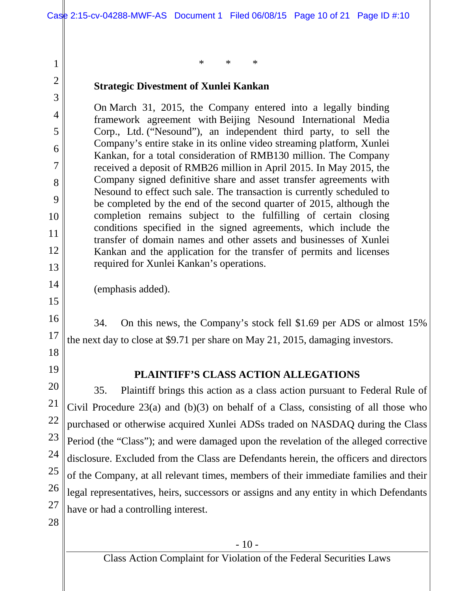\* \* \*

## **Strategic Divestment of Xunlei Kankan**

On March 31, 2015, the Company entered into a legally binding framework agreement with Beijing Nesound International Media Corp., Ltd. ("Nesound"), an independent third party, to sell the Company's entire stake in its online video streaming platform, Xunlei Kankan, for a total consideration of RMB130 million. The Company received a deposit of RMB26 million in April 2015. In May 2015, the Company signed definitive share and asset transfer agreements with Nesound to effect such sale. The transaction is currently scheduled to be completed by the end of the second quarter of 2015, although the completion remains subject to the fulfilling of certain closing conditions specified in the signed agreements, which include the transfer of domain names and other assets and businesses of Xunlei Kankan and the application for the transfer of permits and licenses required for Xunlei Kankan's operations.

14 (emphasis added).

16 17 34. On this news, the Company's stock fell \$1.69 per ADS or almost 15% the next day to close at \$9.71 per share on May 21, 2015, damaging investors.

18

1

2

3

4

5

6

7

8

9

10

11

12

13

15

19

## **PLAINTIFF'S CLASS ACTION ALLEGATIONS**

20 21 22 23 24 25 26 27 35. Plaintiff brings this action as a class action pursuant to Federal Rule of Civil Procedure 23(a) and (b)(3) on behalf of a Class, consisting of all those who purchased or otherwise acquired Xunlei ADSs traded on NASDAQ during the Class Period (the "Class"); and were damaged upon the revelation of the alleged corrective disclosure. Excluded from the Class are Defendants herein, the officers and directors of the Company, at all relevant times, members of their immediate families and their legal representatives, heirs, successors or assigns and any entity in which Defendants have or had a controlling interest.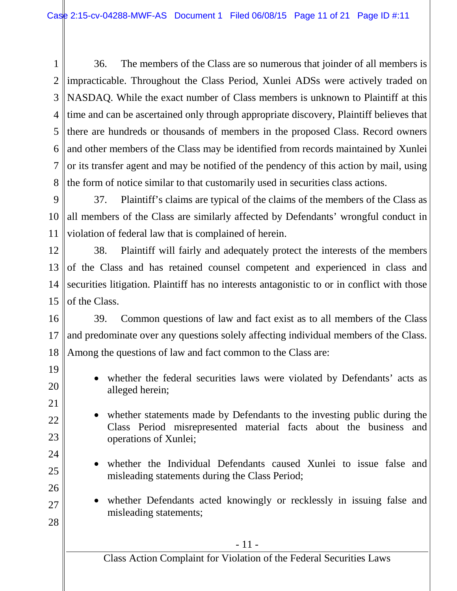1 2 3 4 5 6 7 8 36. The members of the Class are so numerous that joinder of all members is impracticable. Throughout the Class Period, Xunlei ADSs were actively traded on NASDAQ. While the exact number of Class members is unknown to Plaintiff at this time and can be ascertained only through appropriate discovery, Plaintiff believes that there are hundreds or thousands of members in the proposed Class. Record owners and other members of the Class may be identified from records maintained by Xunlei or its transfer agent and may be notified of the pendency of this action by mail, using the form of notice similar to that customarily used in securities class actions.

9 10 11 37. Plaintiff's claims are typical of the claims of the members of the Class as all members of the Class are similarly affected by Defendants' wrongful conduct in violation of federal law that is complained of herein.

12 13 14 15 38. Plaintiff will fairly and adequately protect the interests of the members of the Class and has retained counsel competent and experienced in class and securities litigation. Plaintiff has no interests antagonistic to or in conflict with those of the Class.

16 17 18 39. Common questions of law and fact exist as to all members of the Class and predominate over any questions solely affecting individual members of the Class. Among the questions of law and fact common to the Class are:

19

20

21

22

23

24

25

26

27

- whether the federal securities laws were violated by Defendants' acts as alleged herein;
- whether statements made by Defendants to the investing public during the Class Period misrepresented material facts about the business and operations of Xunlei;
	- whether the Individual Defendants caused Xunlei to issue false and misleading statements during the Class Period;
- whether Defendants acted knowingly or recklessly in issuing false and misleading statements;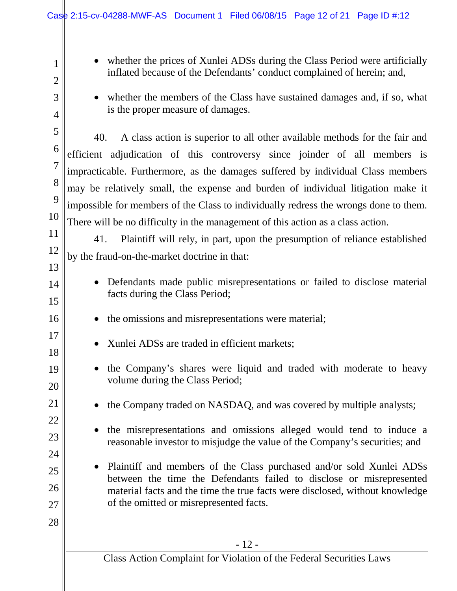1

2

3

4

5

6

7

8

9

13

14

15

16

17

18

19

20

21

22

23

24

25

26

27

28

- whether the prices of Xunlei ADSs during the Class Period were artificially inflated because of the Defendants' conduct complained of herein; and,
- whether the members of the Class have sustained damages and, if so, what is the proper measure of damages.

10 40. A class action is superior to all other available methods for the fair and efficient adjudication of this controversy since joinder of all members is impracticable. Furthermore, as the damages suffered by individual Class members may be relatively small, the expense and burden of individual litigation make it impossible for members of the Class to individually redress the wrongs done to them. There will be no difficulty in the management of this action as a class action.

11 12 41. Plaintiff will rely, in part, upon the presumption of reliance established by the fraud-on-the-market doctrine in that:

- Defendants made public misrepresentations or failed to disclose material facts during the Class Period;
	- the omissions and misrepresentations were material;
		- Xunlei ADSs are traded in efficient markets;
	- the Company's shares were liquid and traded with moderate to heavy volume during the Class Period;
		- the Company traded on NASDAQ, and was covered by multiple analysts;
		- the misrepresentations and omissions alleged would tend to induce a reasonable investor to misjudge the value of the Company's securities; and
- Plaintiff and members of the Class purchased and/or sold Xunlei ADSs between the time the Defendants failed to disclose or misrepresented material facts and the time the true facts were disclosed, without knowledge of the omitted or misrepresented facts.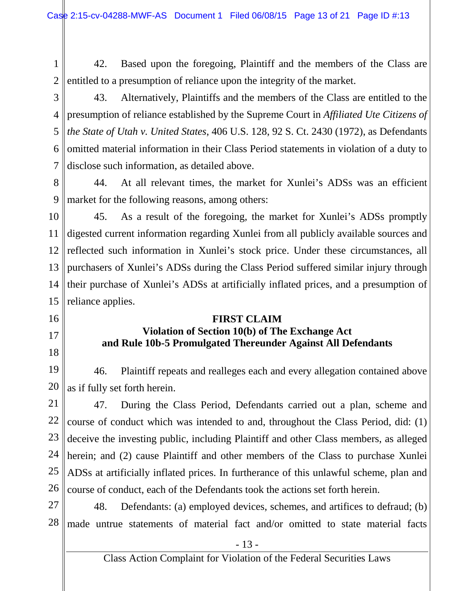1 2 42. Based upon the foregoing, Plaintiff and the members of the Class are entitled to a presumption of reliance upon the integrity of the market.

3 4 5 6 7 43. Alternatively, Plaintiffs and the members of the Class are entitled to the presumption of reliance established by the Supreme Court in *Affiliated Ute Citizens of the State of Utah v. United States*, 406 U.S. 128, 92 S. Ct. 2430 (1972), as Defendants omitted material information in their Class Period statements in violation of a duty to disclose such information, as detailed above.

8 9 44. At all relevant times, the market for Xunlei's ADSs was an efficient market for the following reasons, among others:

10 11 12 13 14 15 45. As a result of the foregoing, the market for Xunlei's ADSs promptly digested current information regarding Xunlei from all publicly available sources and reflected such information in Xunlei's stock price. Under these circumstances, all purchasers of Xunlei's ADSs during the Class Period suffered similar injury through their purchase of Xunlei's ADSs at artificially inflated prices, and a presumption of reliance applies.

**FIRST CLAIM**

# 16

- 17
- 18

**Violation of Section 10(b) of The Exchange Act and Rule 10b-5 Promulgated Thereunder Against All Defendants**

19 20 46. Plaintiff repeats and realleges each and every allegation contained above as if fully set forth herein.

21 22 23 24 25 26 47. During the Class Period, Defendants carried out a plan, scheme and course of conduct which was intended to and, throughout the Class Period, did: (1) deceive the investing public, including Plaintiff and other Class members, as alleged herein; and (2) cause Plaintiff and other members of the Class to purchase Xunlei ADSs at artificially inflated prices. In furtherance of this unlawful scheme, plan and course of conduct, each of the Defendants took the actions set forth herein.

27 28 48. Defendants: (a) employed devices, schemes, and artifices to defraud; (b) made untrue statements of material fact and/or omitted to state material facts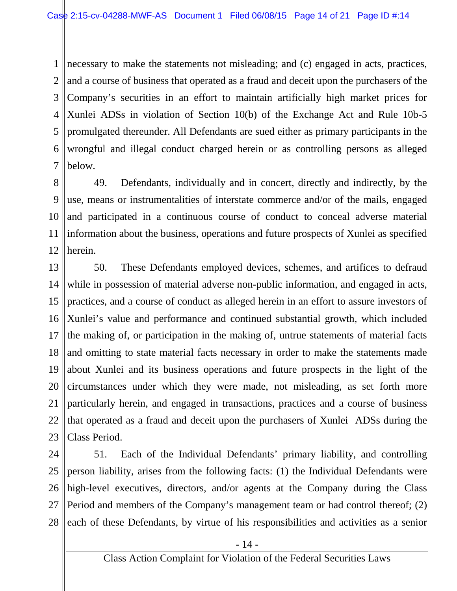1 2 3 4 5 6 7 necessary to make the statements not misleading; and (c) engaged in acts, practices, and a course of business that operated as a fraud and deceit upon the purchasers of the Company's securities in an effort to maintain artificially high market prices for Xunlei ADSs in violation of Section 10(b) of the Exchange Act and Rule 10b-5 promulgated thereunder. All Defendants are sued either as primary participants in the wrongful and illegal conduct charged herein or as controlling persons as alleged below.

8 9 10 11 12 49. Defendants, individually and in concert, directly and indirectly, by the use, means or instrumentalities of interstate commerce and/or of the mails, engaged and participated in a continuous course of conduct to conceal adverse material information about the business, operations and future prospects of Xunlei as specified herein.

13 14 15 16 17 18 19 20 21 22 23 50. These Defendants employed devices, schemes, and artifices to defraud while in possession of material adverse non-public information, and engaged in acts, practices, and a course of conduct as alleged herein in an effort to assure investors of Xunlei's value and performance and continued substantial growth, which included the making of, or participation in the making of, untrue statements of material facts and omitting to state material facts necessary in order to make the statements made about Xunlei and its business operations and future prospects in the light of the circumstances under which they were made, not misleading, as set forth more particularly herein, and engaged in transactions, practices and a course of business that operated as a fraud and deceit upon the purchasers of Xunlei ADSs during the Class Period.

24 25 26 27 28 51. Each of the Individual Defendants' primary liability, and controlling person liability, arises from the following facts: (1) the Individual Defendants were high-level executives, directors, and/or agents at the Company during the Class Period and members of the Company's management team or had control thereof; (2) each of these Defendants, by virtue of his responsibilities and activities as a senior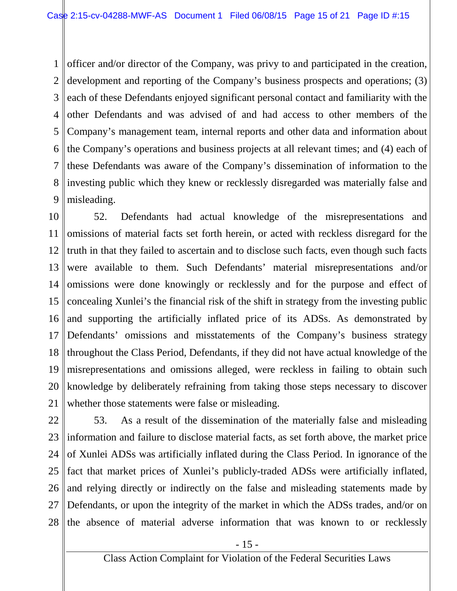1 2 3 4 5 6 7 8 9 officer and/or director of the Company, was privy to and participated in the creation, development and reporting of the Company's business prospects and operations; (3) each of these Defendants enjoyed significant personal contact and familiarity with the other Defendants and was advised of and had access to other members of the Company's management team, internal reports and other data and information about the Company's operations and business projects at all relevant times; and (4) each of these Defendants was aware of the Company's dissemination of information to the investing public which they knew or recklessly disregarded was materially false and misleading.

10 11 12 13 14 15 16 17 18 19 20 21 52. Defendants had actual knowledge of the misrepresentations and omissions of material facts set forth herein, or acted with reckless disregard for the truth in that they failed to ascertain and to disclose such facts, even though such facts were available to them. Such Defendants' material misrepresentations and/or omissions were done knowingly or recklessly and for the purpose and effect of concealing Xunlei's the financial risk of the shift in strategy from the investing public and supporting the artificially inflated price of its ADSs. As demonstrated by Defendants' omissions and misstatements of the Company's business strategy throughout the Class Period, Defendants, if they did not have actual knowledge of the misrepresentations and omissions alleged, were reckless in failing to obtain such knowledge by deliberately refraining from taking those steps necessary to discover whether those statements were false or misleading.

22 23 24 25 26 27 28 53. As a result of the dissemination of the materially false and misleading information and failure to disclose material facts, as set forth above, the market price of Xunlei ADSs was artificially inflated during the Class Period. In ignorance of the fact that market prices of Xunlei's publicly-traded ADSs were artificially inflated, and relying directly or indirectly on the false and misleading statements made by Defendants, or upon the integrity of the market in which the ADSs trades, and/or on the absence of material adverse information that was known to or recklessly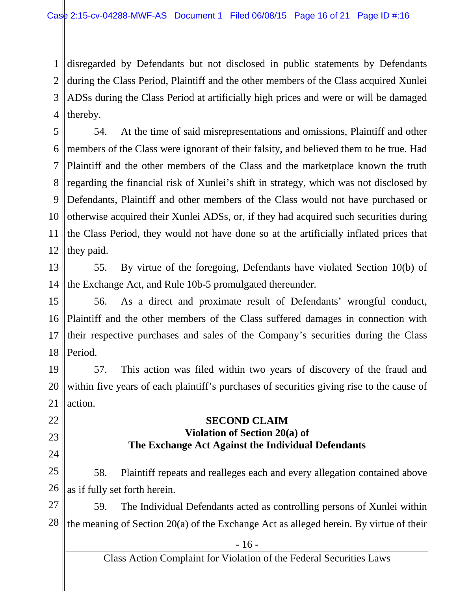1 2 3 4 disregarded by Defendants but not disclosed in public statements by Defendants during the Class Period, Plaintiff and the other members of the Class acquired Xunlei ADSs during the Class Period at artificially high prices and were or will be damaged thereby.

5 6 7 8 9 10 11 12 54. At the time of said misrepresentations and omissions, Plaintiff and other members of the Class were ignorant of their falsity, and believed them to be true. Had Plaintiff and the other members of the Class and the marketplace known the truth regarding the financial risk of Xunlei's shift in strategy, which was not disclosed by Defendants, Plaintiff and other members of the Class would not have purchased or otherwise acquired their Xunlei ADSs, or, if they had acquired such securities during the Class Period, they would not have done so at the artificially inflated prices that they paid.

13 14 55. By virtue of the foregoing, Defendants have violated Section 10(b) of the Exchange Act, and Rule 10b-5 promulgated thereunder.

15 16 17 18 56. As a direct and proximate result of Defendants' wrongful conduct, Plaintiff and the other members of the Class suffered damages in connection with their respective purchases and sales of the Company's securities during the Class Period.

19 20 21 57. This action was filed within two years of discovery of the fraud and within five years of each plaintiff's purchases of securities giving rise to the cause of action.

## **SECOND CLAIM Violation of Section 20(a) of The Exchange Act Against the Individual Defendants**

22

23

24

25 26 58. Plaintiff repeats and realleges each and every allegation contained above as if fully set forth herein.

27 28 59. The Individual Defendants acted as controlling persons of Xunlei within the meaning of Section 20(a) of the Exchange Act as alleged herein. By virtue of their

Class Action Complaint for Violation of the Federal Securities Laws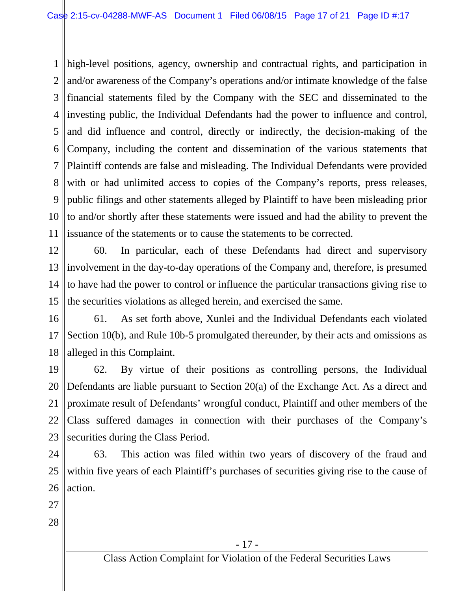1 high-level positions, agency, ownership and contractual rights, and participation in 2 3 4 5 6 7 8 9 10 11 and/or awareness of the Company's operations and/or intimate knowledge of the false financial statements filed by the Company with the SEC and disseminated to the investing public, the Individual Defendants had the power to influence and control, and did influence and control, directly or indirectly, the decision-making of the Company, including the content and dissemination of the various statements that Plaintiff contends are false and misleading. The Individual Defendants were provided with or had unlimited access to copies of the Company's reports, press releases, public filings and other statements alleged by Plaintiff to have been misleading prior to and/or shortly after these statements were issued and had the ability to prevent the issuance of the statements or to cause the statements to be corrected.

12 13 14 15 60. In particular, each of these Defendants had direct and supervisory involvement in the day-to-day operations of the Company and, therefore, is presumed to have had the power to control or influence the particular transactions giving rise to the securities violations as alleged herein, and exercised the same.

16

17 18 61. As set forth above, Xunlei and the Individual Defendants each violated Section 10(b), and Rule 10b-5 promulgated thereunder, by their acts and omissions as alleged in this Complaint.

19 20 21 22 23 62. By virtue of their positions as controlling persons, the Individual Defendants are liable pursuant to Section 20(a) of the Exchange Act. As a direct and proximate result of Defendants' wrongful conduct, Plaintiff and other members of the Class suffered damages in connection with their purchases of the Company's securities during the Class Period.

24 25 26 63. This action was filed within two years of discovery of the fraud and within five years of each Plaintiff's purchases of securities giving rise to the cause of action.

- 27
- 28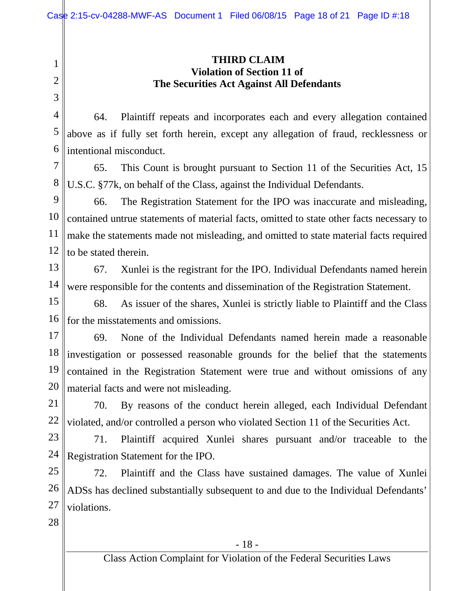#### **THIRD CLAIM Violation of Section 11 of The Securities Act Against All Defendants**

4 5 6 64. Plaintiff repeats and incorporates each and every allegation contained above as if fully set forth herein, except any allegation of fraud, recklessness or intentional misconduct.

7 8 65. This Count is brought pursuant to Section 11 of the Securities Act, 15 U.S.C. §77k, on behalf of the Class, against the Individual Defendants.

9 10 11 12 66. The Registration Statement for the IPO was inaccurate and misleading, contained untrue statements of material facts, omitted to state other facts necessary to make the statements made not misleading, and omitted to state material facts required to be stated therein.

13 14 67. Xunlei is the registrant for the IPO. Individual Defendants named herein were responsible for the contents and dissemination of the Registration Statement.

15 16 68. As issuer of the shares, Xunlei is strictly liable to Plaintiff and the Class for the misstatements and omissions.

17 18 19 20 69. None of the Individual Defendants named herein made a reasonable investigation or possessed reasonable grounds for the belief that the statements contained in the Registration Statement were true and without omissions of any material facts and were not misleading.

21 22 70. By reasons of the conduct herein alleged, each Individual Defendant violated, and/or controlled a person who violated Section 11 of the Securities Act.

23 24 71. Plaintiff acquired Xunlei shares pursuant and/or traceable to the Registration Statement for the IPO.

25 26 27 72. Plaintiff and the Class have sustained damages. The value of Xunlei ADSs has declined substantially subsequent to and due to the Individual Defendants' violations.

28

1

2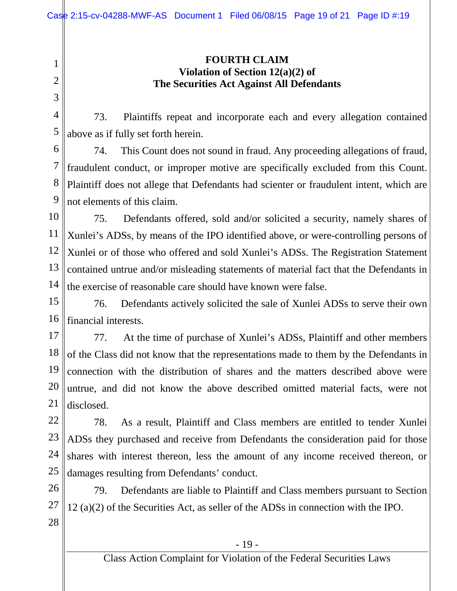1 2 3

#### **FOURTH CLAIM Violation of Section 12(a)(2) of The Securities Act Against All Defendants**

4 5 73. Plaintiffs repeat and incorporate each and every allegation contained above as if fully set forth herein.

6 7 8 9 74. This Count does not sound in fraud. Any proceeding allegations of fraud, fraudulent conduct, or improper motive are specifically excluded from this Count. Plaintiff does not allege that Defendants had scienter or fraudulent intent, which are not elements of this claim.

10 11 12 13 14 75. Defendants offered, sold and/or solicited a security, namely shares of Xunlei's ADSs, by means of the IPO identified above, or were-controlling persons of Xunlei or of those who offered and sold Xunlei's ADSs. The Registration Statement contained untrue and/or misleading statements of material fact that the Defendants in the exercise of reasonable care should have known were false.

15 16 76. Defendants actively solicited the sale of Xunlei ADSs to serve their own financial interests.

17 18 19 20 21 77. At the time of purchase of Xunlei's ADSs, Plaintiff and other members of the Class did not know that the representations made to them by the Defendants in connection with the distribution of shares and the matters described above were untrue, and did not know the above described omitted material facts, were not disclosed.

22 23 24 25 78. As a result, Plaintiff and Class members are entitled to tender Xunlei ADSs they purchased and receive from Defendants the consideration paid for those shares with interest thereon, less the amount of any income received thereon, or damages resulting from Defendants' conduct.

26 27 28 79. Defendants are liable to Plaintiff and Class members pursuant to Section 12 (a)(2) of the Securities Act, as seller of the ADSs in connection with the IPO.

- 19 -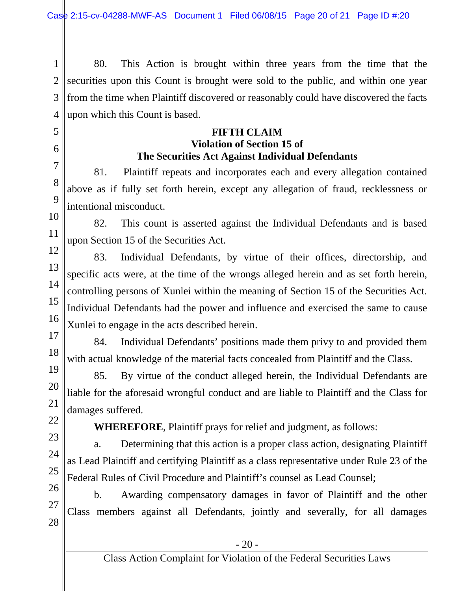1 2 3 4 80. This Action is brought within three years from the time that the securities upon this Count is brought were sold to the public, and within one year from the time when Plaintiff discovered or reasonably could have discovered the facts upon which this Count is based.

## **FIFTH CLAIM Violation of Section 15 of The Securities Act Against Individual Defendants**

81. Plaintiff repeats and incorporates each and every allegation contained above as if fully set forth herein, except any allegation of fraud, recklessness or intentional misconduct.

10 82. This count is asserted against the Individual Defendants and is based upon Section 15 of the Securities Act.

12 13 14 15 16 17 83. Individual Defendants, by virtue of their offices, directorship, and specific acts were, at the time of the wrongs alleged herein and as set forth herein, controlling persons of Xunlei within the meaning of Section 15 of the Securities Act. Individual Defendants had the power and influence and exercised the same to cause Xunlei to engage in the acts described herein.

84. Individual Defendants' positions made them privy to and provided them with actual knowledge of the material facts concealed from Plaintiff and the Class.

85. By virtue of the conduct alleged herein, the Individual Defendants are liable for the aforesaid wrongful conduct and are liable to Plaintiff and the Class for damages suffered.

22

27

18

19

20

21

5

6

7

8

 $\mathbf Q$ 

11

**WHEREFORE**, Plaintiff prays for relief and judgment, as follows:

23 24 25 a. Determining that this action is a proper class action, designating Plaintiff as Lead Plaintiff and certifying Plaintiff as a class representative under Rule 23 of the Federal Rules of Civil Procedure and Plaintiff's counsel as Lead Counsel;

26 28 b. Awarding compensatory damages in favor of Plaintiff and the other Class members against all Defendants, jointly and severally, for all damages